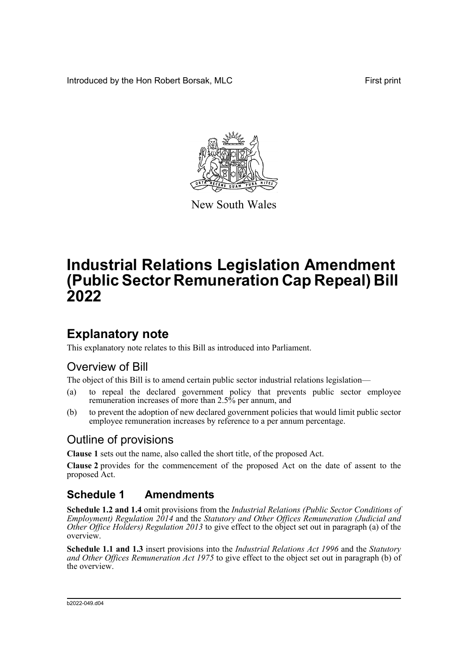Introduced by the Hon Robert Borsak, MLC First print



New South Wales

# **Industrial Relations Legislation Amendment (Public Sector Remuneration Cap Repeal) Bill 2022**

### **Explanatory note**

This explanatory note relates to this Bill as introduced into Parliament.

### Overview of Bill

The object of this Bill is to amend certain public sector industrial relations legislation—

- (a) to repeal the declared government policy that prevents public sector employee remuneration increases of more than 2.5% per annum, and
- (b) to prevent the adoption of new declared government policies that would limit public sector employee remuneration increases by reference to a per annum percentage.

#### Outline of provisions

**Clause 1** sets out the name, also called the short title, of the proposed Act.

**Clause 2** provides for the commencement of the proposed Act on the date of assent to the proposed Act.

### **Schedule 1 Amendments**

**Schedule 1.2 and 1.4** omit provisions from the *Industrial Relations (Public Sector Conditions of Employment) Regulation 2014* and the *Statutory and Other Offices Remuneration (Judicial and Other Office Holders) Regulation 2013* to give effect to the object set out in paragraph (a) of the overview.

**Schedule 1.1 and 1.3** insert provisions into the *Industrial Relations Act 1996* and the *Statutory and Other Offices Remuneration Act 1975* to give effect to the object set out in paragraph (b) of the overview.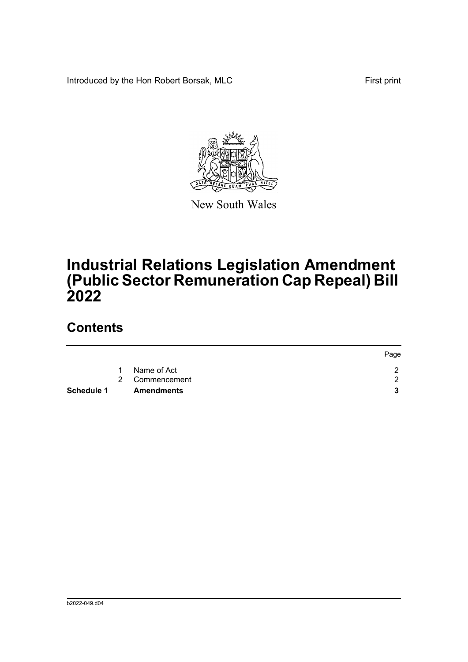Introduced by the Hon Robert Borsak, MLC First print



New South Wales

# **Industrial Relations Legislation Amendment (Public Sector Remuneration Cap Repeal) Bill 2022**

### **Contents**

|                   |                   | Page |
|-------------------|-------------------|------|
| $\overline{1}$    | Name of Act       |      |
|                   | 2 Commencement    | ົ    |
| <b>Schedule 1</b> | <b>Amendments</b> |      |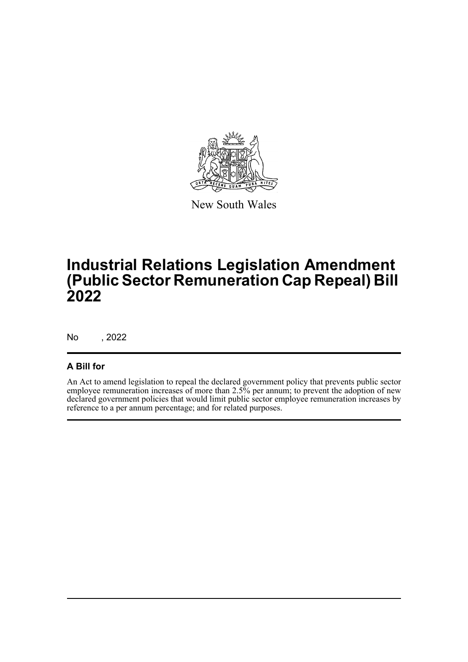

New South Wales

# **Industrial Relations Legislation Amendment (Public Sector Remuneration Cap Repeal) Bill 2022**

No , 2022

#### **A Bill for**

An Act to amend legislation to repeal the declared government policy that prevents public sector employee remuneration increases of more than 2.5% per annum; to prevent the adoption of new declared government policies that would limit public sector employee remuneration increases by reference to a per annum percentage; and for related purposes.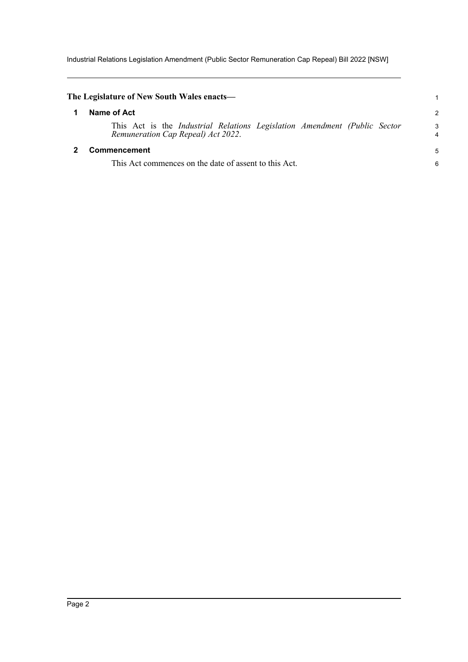Industrial Relations Legislation Amendment (Public Sector Remuneration Cap Repeal) Bill 2022 [NSW]

<span id="page-3-1"></span><span id="page-3-0"></span>

| The Legislature of New South Wales enacts—                                                                      |        |
|-----------------------------------------------------------------------------------------------------------------|--------|
| Name of Act                                                                                                     | 2      |
| This Act is the Industrial Relations Legislation Amendment (Public Sector<br>Remuneration Cap Repeal) Act 2022. | 3<br>4 |
| Commencement                                                                                                    | 5      |
| This Act commences on the date of assent to this Act.                                                           | 6      |
|                                                                                                                 |        |